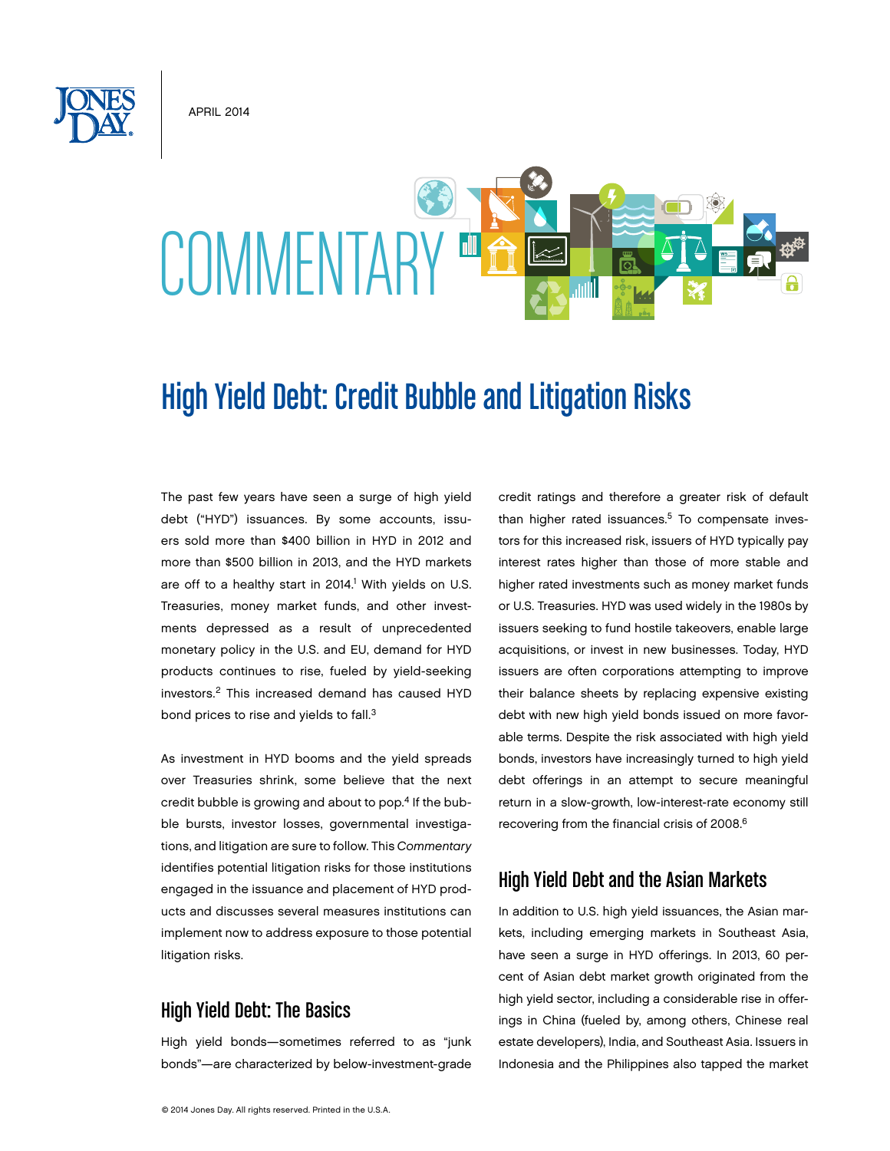**APRIL 2014** 

# COMMENTARY<sup>ED</sup>

# High Yield Debt: Credit Bubble and Litigation Risks

The past few years have seen a surge of high yield debt ("HYD") issuances. By some accounts, issuers sold more than \$400 billion in HYD in 2012 and more than \$500 billion in 2013, and the HYD markets are off to a healthy start in 2014.<sup>1</sup> With yields on U.S. Treasuries, money market funds, and other investments depressed as a result of unprecedented monetary policy in the U.S. and EU, demand for HYD products continues to rise, fueled by yield-seeking investors.2 This increased demand has caused HYD bond prices to rise and yields to fall.<sup>3</sup>

As investment in HYD booms and the yield spreads over Treasuries shrink, some believe that the next credit bubble is growing and about to pop.4 If the bubble bursts, investor losses, governmental investigations, and litigation are sure to follow. This *Commentary*  identifies potential litigation risks for those institutions engaged in the issuance and placement of HYD products and discusses several measures institutions can implement now to address exposure to those potential litigation risks.

# High Yield Debt: The Basics

High yield bonds—sometimes referred to as "junk bonds"—are characterized by below-investment-grade credit ratings and therefore a greater risk of default than higher rated issuances.<sup>5</sup> To compensate investors for this increased risk, issuers of HYD typically pay interest rates higher than those of more stable and higher rated investments such as money market funds or U.S. Treasuries. HYD was used widely in the 1980s by issuers seeking to fund hostile takeovers, enable large acquisitions, or invest in new businesses. Today, HYD issuers are often corporations attempting to improve their balance sheets by replacing expensive existing debt with new high yield bonds issued on more favorable terms. Despite the risk associated with high yield bonds, investors have increasingly turned to high yield debt offerings in an attempt to secure meaningful return in a slow-growth, low-interest-rate economy still recovering from the financial crisis of 2008.6

# High Yield Debt and the Asian Markets

In addition to U.S. high yield issuances, the Asian markets, including emerging markets in Southeast Asia, have seen a surge in HYD offerings. In 2013, 60 percent of Asian debt market growth originated from the high yield sector, including a considerable rise in offerings in China (fueled by, among others, Chinese real estate developers), India, and Southeast Asia. Issuers in Indonesia and the Philippines also tapped the market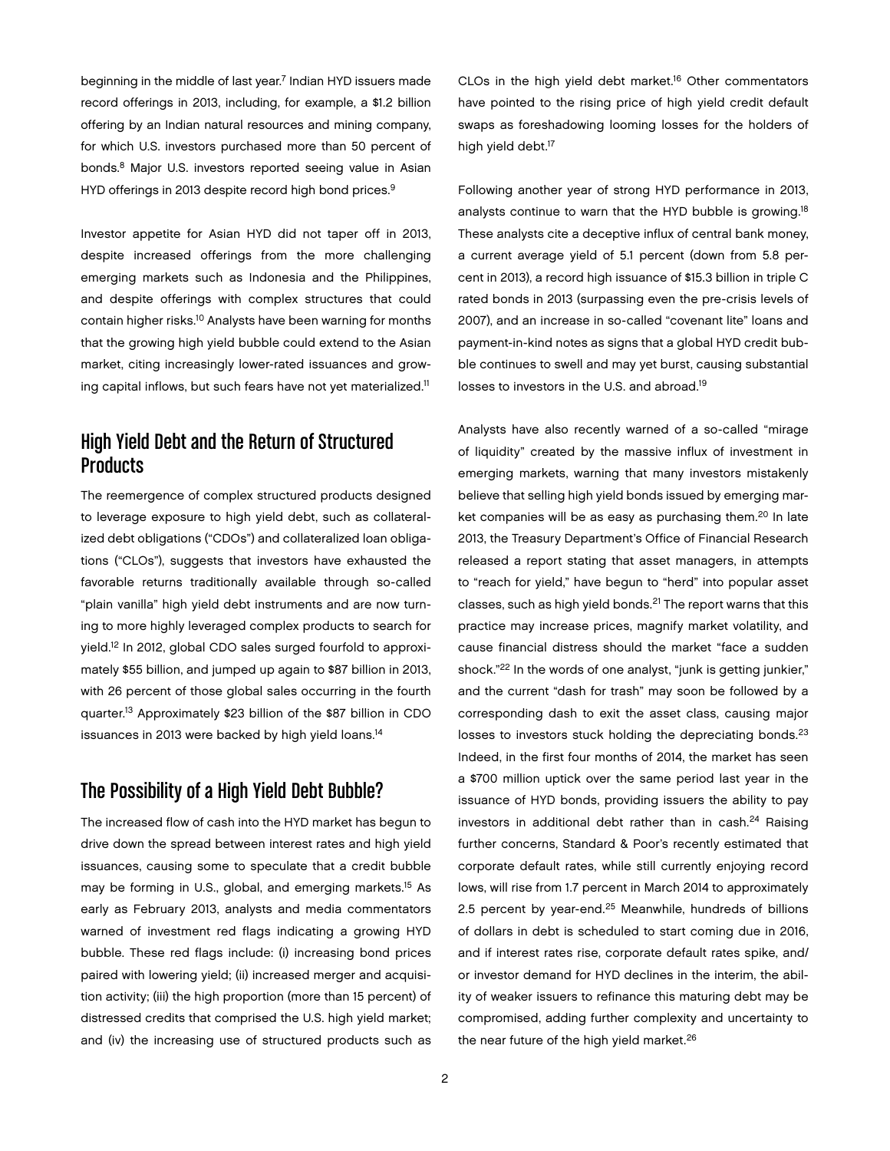beginning in the middle of last year.<sup>7</sup> Indian HYD issuers made record offerings in 2013, including, for example, a \$1.2 billion offering by an Indian natural resources and mining company, for which U.S. investors purchased more than 50 percent of bonds.8 Major U.S. investors reported seeing value in Asian HYD offerings in 2013 despite record high bond prices.<sup>9</sup>

Investor appetite for Asian HYD did not taper off in 2013, despite increased offerings from the more challenging emerging markets such as Indonesia and the Philippines, and despite offerings with complex structures that could contain higher risks.10 Analysts have been warning for months that the growing high yield bubble could extend to the Asian market, citing increasingly lower-rated issuances and growing capital inflows, but such fears have not yet materialized.<sup>11</sup>

# High Yield Debt and the Return of Structured **Products**

The reemergence of complex structured products designed to leverage exposure to high yield debt, such as collateralized debt obligations ("CDOs") and collateralized loan obligations ("CLOs"), suggests that investors have exhausted the favorable returns traditionally available through so-called "plain vanilla" high yield debt instruments and are now turning to more highly leveraged complex products to search for yield.12 In 2012, global CDO sales surged fourfold to approximately \$55 billion, and jumped up again to \$87 billion in 2013, with 26 percent of those global sales occurring in the fourth quarter.13 Approximately \$23 billion of the \$87 billion in CDO issuances in 2013 were backed by high yield loans.<sup>14</sup>

#### The Possibility of a High Yield Debt Bubble?

The increased flow of cash into the HYD market has begun to drive down the spread between interest rates and high yield issuances, causing some to speculate that a credit bubble may be forming in U.S., global, and emerging markets.15 As early as February 2013, analysts and media commentators warned of investment red flags indicating a growing HYD bubble. These red flags include: (i) increasing bond prices paired with lowering yield; (ii) increased merger and acquisition activity; (iii) the high proportion (more than 15 percent) of distressed credits that comprised the U.S. high yield market; and (iv) the increasing use of structured products such as

CLOs in the high yield debt market.<sup>16</sup> Other commentators have pointed to the rising price of high yield credit default swaps as foreshadowing looming losses for the holders of high yield debt.<sup>17</sup>

Following another year of strong HYD performance in 2013, analysts continue to warn that the HYD bubble is growing.18 These analysts cite a deceptive influx of central bank money, a current average yield of 5.1 percent (down from 5.8 percent in 2013), a record high issuance of \$15.3 billion in triple C rated bonds in 2013 (surpassing even the pre-crisis levels of 2007), and an increase in so-called "covenant lite" loans and payment-in-kind notes as signs that a global HYD credit bubble continues to swell and may yet burst, causing substantial losses to investors in the U.S. and abroad.19

Analysts have also recently warned of a so-called "mirage of liquidity" created by the massive influx of investment in emerging markets, warning that many investors mistakenly believe that selling high yield bonds issued by emerging market companies will be as easy as purchasing them.<sup>20</sup> In late 2013, the Treasury Department's Office of Financial Research released a report stating that asset managers, in attempts to "reach for yield," have begun to "herd" into popular asset classes, such as high yield bonds.21 The report warns that this practice may increase prices, magnify market volatility, and cause financial distress should the market "face a sudden shock."<sup>22</sup> In the words of one analyst, "junk is getting junkier," and the current "dash for trash" may soon be followed by a corresponding dash to exit the asset class, causing major losses to investors stuck holding the depreciating bonds.<sup>23</sup> Indeed, in the first four months of 2014, the market has seen a \$700 million uptick over the same period last year in the issuance of HYD bonds, providing issuers the ability to pay investors in additional debt rather than in cash. $24$  Raising further concerns, Standard & Poor's recently estimated that corporate default rates, while still currently enjoying record lows, will rise from 1.7 percent in March 2014 to approximately 2.5 percent by year-end.<sup>25</sup> Meanwhile, hundreds of billions of dollars in debt is scheduled to start coming due in 2016, and if interest rates rise, corporate default rates spike, and/ or investor demand for HYD declines in the interim, the ability of weaker issuers to refinance this maturing debt may be compromised, adding further complexity and uncertainty to the near future of the high yield market.<sup>26</sup>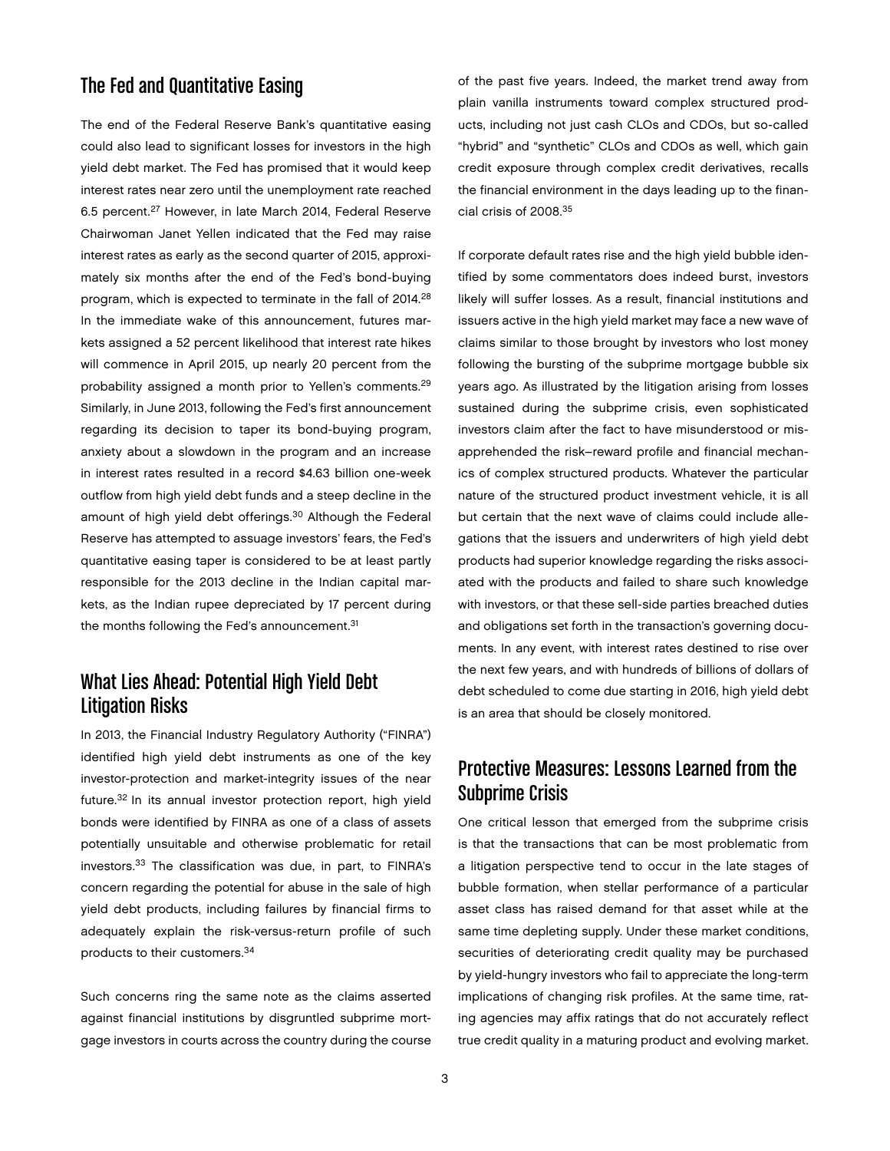# The Fed and Quantitative Easing

The end of the Federal Reserve Bank's quantitative easing could also lead to significant losses for investors in the high yield debt market. The Fed has promised that it would keep interest rates near zero until the unemployment rate reached 6.5 percent.27 However, in late March 2014, Federal Reserve Chairwoman Janet Yellen indicated that the Fed may raise interest rates as early as the second quarter of 2015, approximately six months after the end of the Fed's bond-buying program, which is expected to terminate in the fall of 2014.28 In the immediate wake of this announcement, futures markets assigned a 52 percent likelihood that interest rate hikes will commence in April 2015, up nearly 20 percent from the probability assigned a month prior to Yellen's comments.29 Similarly, in June 2013, following the Fed's first announcement regarding its decision to taper its bond-buying program, anxiety about a slowdown in the program and an increase in interest rates resulted in a record \$4.63 billion one-week outflow from high yield debt funds and a steep decline in the amount of high yield debt offerings.<sup>30</sup> Although the Federal Reserve has attempted to assuage investors' fears, the Fed's quantitative easing taper is considered to be at least partly responsible for the 2013 decline in the Indian capital markets, as the Indian rupee depreciated by 17 percent during the months following the Fed's announcement.<sup>31</sup>

# What Lies Ahead: Potential High Yield Debt Litigation Risks

In 2013, the Financial Industry Regulatory Authority ("FINRA") identified high yield debt instruments as one of the key investor-protection and market-integrity issues of the near future.32 In its annual investor protection report, high yield bonds were identified by FINRA as one of a class of assets potentially unsuitable and otherwise problematic for retail investors.33 The classification was due, in part, to FINRA's concern regarding the potential for abuse in the sale of high yield debt products, including failures by financial firms to adequately explain the risk-versus-return profile of such products to their customers.34

Such concerns ring the same note as the claims asserted against financial institutions by disgruntled subprime mortgage investors in courts across the country during the course of the past five years. Indeed, the market trend away from plain vanilla instruments toward complex structured products, including not just cash CLOs and CDOs, but so-called "hybrid" and "synthetic" CLOs and CDOs as well, which gain credit exposure through complex credit derivatives, recalls the financial environment in the days leading up to the financial crisis of 2008.35

If corporate default rates rise and the high yield bubble identified by some commentators does indeed burst, investors likely will suffer losses. As a result, financial institutions and issuers active in the high yield market may face a new wave of claims similar to those brought by investors who lost money following the bursting of the subprime mortgage bubble six years ago. As illustrated by the litigation arising from losses sustained during the subprime crisis, even sophisticated investors claim after the fact to have misunderstood or misapprehended the risk–reward profile and financial mechanics of complex structured products. Whatever the particular nature of the structured product investment vehicle, it is all but certain that the next wave of claims could include allegations that the issuers and underwriters of high yield debt products had superior knowledge regarding the risks associated with the products and failed to share such knowledge with investors, or that these sell-side parties breached duties and obligations set forth in the transaction's governing documents. In any event, with interest rates destined to rise over the next few years, and with hundreds of billions of dollars of debt scheduled to come due starting in 2016, high yield debt is an area that should be closely monitored.

#### Protective Measures: Lessons Learned from the Subprime Crisis

One critical lesson that emerged from the subprime crisis is that the transactions that can be most problematic from a litigation perspective tend to occur in the late stages of bubble formation, when stellar performance of a particular asset class has raised demand for that asset while at the same time depleting supply. Under these market conditions, securities of deteriorating credit quality may be purchased by yield-hungry investors who fail to appreciate the long-term implications of changing risk profiles. At the same time, rating agencies may affix ratings that do not accurately reflect true credit quality in a maturing product and evolving market.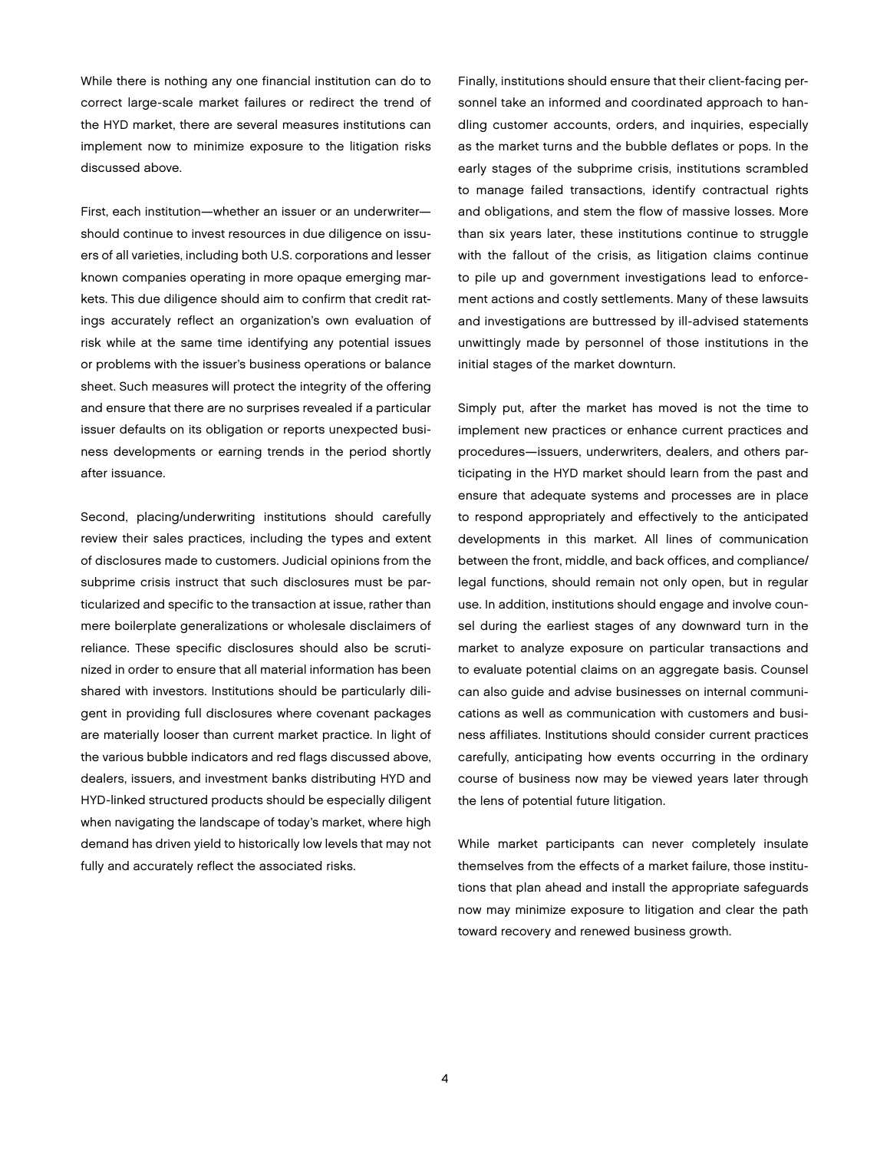While there is nothing any one financial institution can do to correct large-scale market failures or redirect the trend of the HYD market, there are several measures institutions can implement now to minimize exposure to the litigation risks discussed above.

First, each institution—whether an issuer or an underwriter should continue to invest resources in due diligence on issuers of all varieties, including both U.S. corporations and lesser known companies operating in more opaque emerging markets. This due diligence should aim to confirm that credit ratings accurately reflect an organization's own evaluation of risk while at the same time identifying any potential issues or problems with the issuer's business operations or balance sheet. Such measures will protect the integrity of the offering and ensure that there are no surprises revealed if a particular issuer defaults on its obligation or reports unexpected business developments or earning trends in the period shortly after issuance.

Second, placing/underwriting institutions should carefully review their sales practices, including the types and extent of disclosures made to customers. Judicial opinions from the subprime crisis instruct that such disclosures must be particularized and specific to the transaction at issue, rather than mere boilerplate generalizations or wholesale disclaimers of reliance. These specific disclosures should also be scrutinized in order to ensure that all material information has been shared with investors. Institutions should be particularly diligent in providing full disclosures where covenant packages are materially looser than current market practice. In light of the various bubble indicators and red flags discussed above, dealers, issuers, and investment banks distributing HYD and HYD-linked structured products should be especially diligent when navigating the landscape of today's market, where high demand has driven yield to historically low levels that may not fully and accurately reflect the associated risks.

Finally, institutions should ensure that their client-facing personnel take an informed and coordinated approach to handling customer accounts, orders, and inquiries, especially as the market turns and the bubble deflates or pops. In the early stages of the subprime crisis, institutions scrambled to manage failed transactions, identify contractual rights and obligations, and stem the flow of massive losses. More than six years later, these institutions continue to struggle with the fallout of the crisis, as litigation claims continue to pile up and government investigations lead to enforcement actions and costly settlements. Many of these lawsuits and investigations are buttressed by ill-advised statements unwittingly made by personnel of those institutions in the initial stages of the market downturn.

Simply put, after the market has moved is not the time to implement new practices or enhance current practices and procedures—issuers, underwriters, dealers, and others participating in the HYD market should learn from the past and ensure that adequate systems and processes are in place to respond appropriately and effectively to the anticipated developments in this market. All lines of communication between the front, middle, and back offices, and compliance/ legal functions, should remain not only open, but in regular use. In addition, institutions should engage and involve counsel during the earliest stages of any downward turn in the market to analyze exposure on particular transactions and to evaluate potential claims on an aggregate basis. Counsel can also guide and advise businesses on internal communications as well as communication with customers and business affiliates. Institutions should consider current practices carefully, anticipating how events occurring in the ordinary course of business now may be viewed years later through the lens of potential future litigation.

While market participants can never completely insulate themselves from the effects of a market failure, those institutions that plan ahead and install the appropriate safeguards now may minimize exposure to litigation and clear the path toward recovery and renewed business growth.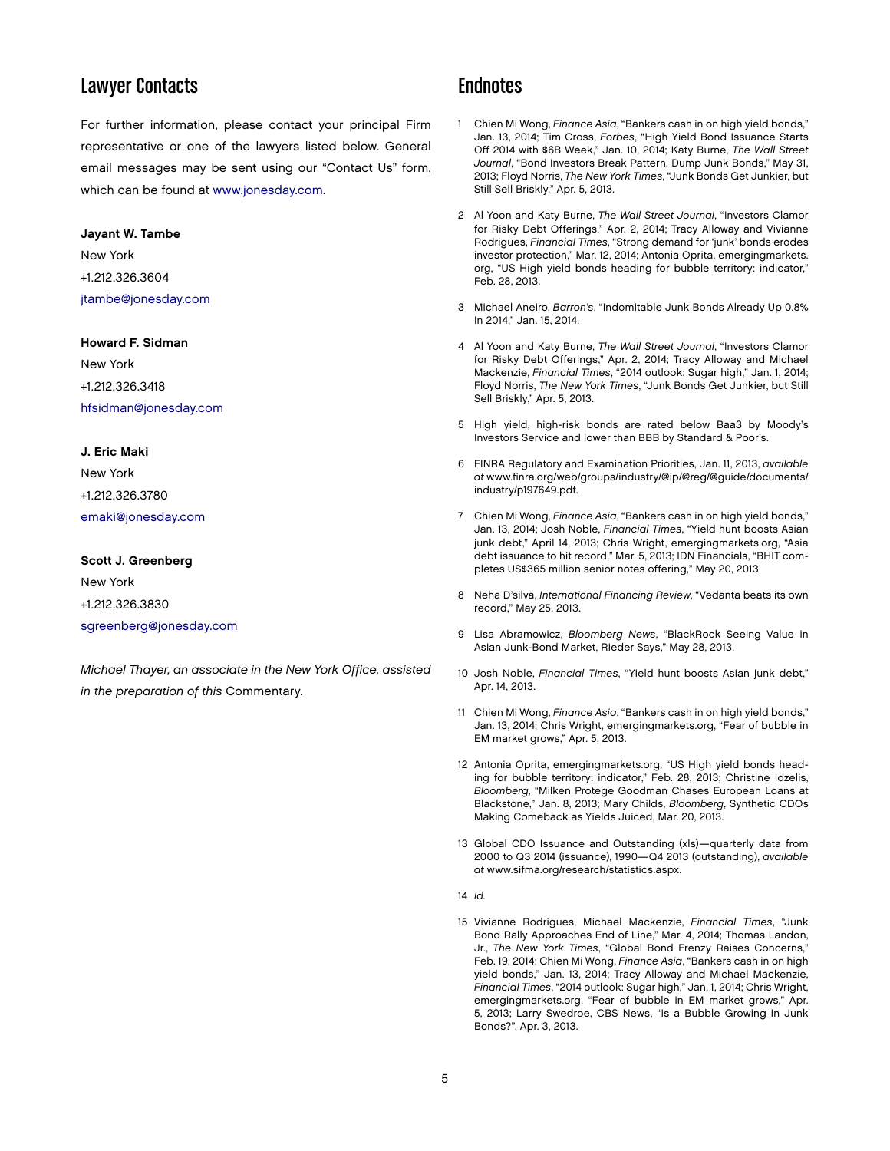#### Lawyer Contacts

For further information, please contact your principal Firm representative or one of the lawyers listed below. General email messages may be sent using our "Contact Us" form, which can be found at [www.jonesday.com.](http://www.jonesday.com)

#### Jayant W. Tambe

#### New York +1.212.326.3604 [jtambe@jonesday.com](mailto:jtambe@jonesday.com)

#### Howard F. Sidman

New York +1.212.326.3418 [hfsidman@jonesday.com](mailto:hfsidman@jonesday.com)

#### J. Eric Maki

New York +1.212.326.3780 [emaki@jonesday.com](mailto:emaki@jonesday.com)

#### Scott J. Greenberg

New York +1.212.326.3830 [sgreenberg@jonesday.com](mailto:sgreenberg@jonesday.com)

*Michael Thayer, an associate in the New York Office, assisted in the preparation of this* Commentary.

#### **Endnotes**

- 1 Chien Mi Wong, *Finance Asia*, "Bankers cash in on high yield bonds," Jan. 13, 2014; Tim Cross, *Forbes*, "High Yield Bond Issuance Starts Off 2014 with \$6B Week," Jan. 10, 2014; Katy Burne, *The Wall Street Journal*, "Bond Investors Break Pattern, Dump Junk Bonds," May 31, 2013; Floyd Norris, *The New York Times*, "Junk Bonds Get Junkier, but Still Sell Briskly," Apr. 5, 2013.
- 2 Al Yoon and Katy Burne, *The Wall Street Journal*, "Investors Clamor for Risky Debt Offerings," Apr. 2, 2014; Tracy Alloway and Vivianne Rodrigues, *Financial Times*, "Strong demand for 'junk' bonds erodes investor protection," Mar. 12, 2014; Antonia Oprita, emergingmarkets. org, "US High yield bonds heading for bubble territory: indicator," Feb. 28, 2013.
- 3 Michael Aneiro, *Barron's*, "Indomitable Junk Bonds Already Up 0.8% In 2014," Jan. 15, 2014.
- 4 Al Yoon and Katy Burne, *The Wall Street Journal*, "Investors Clamor for Risky Debt Offerings," Apr. 2, 2014; Tracy Alloway and Michael Mackenzie, *Financial Times*, "2014 outlook: Sugar high," Jan. 1, 2014; Floyd Norris, *The New York Times*, "Junk Bonds Get Junkier, but Still Sell Briskly," Apr. 5, 2013.
- 5 High yield, high-risk bonds are rated below Baa3 by Moody's Investors Service and lower than BBB by Standard & Poor's.
- 6 FINRA Regulatory and Examination Priorities, Jan. 11, 2013, *available at* www.finra.org/web/groups/industry/@ip/@reg/@guide/documents/ industry/p197649.pdf.
- 7 Chien Mi Wong, *Finance Asia*, "Bankers cash in on high yield bonds," Jan. 13, 2014; Josh Noble, *Financial Times*, "Yield hunt boosts Asian junk debt," April 14, 2013; Chris Wright, emergingmarkets.org, "Asia debt issuance to hit record," Mar. 5, 2013; IDN Financials, "BHIT completes US\$365 million senior notes offering," May 20, 2013.
- 8 Neha D'silva, *International Financing Review*, "Vedanta beats its own record," May 25, 2013.
- 9 Lisa Abramowicz, *Bloomberg News*, "BlackRock Seeing Value in Asian Junk-Bond Market, Rieder Says," May 28, 2013.
- 10 Josh Noble, *Financial Times*, "Yield hunt boosts Asian junk debt," Apr. 14, 2013.
- 11 Chien Mi Wong, *Finance Asia*, "Bankers cash in on high yield bonds," Jan. 13, 2014; Chris Wright, emergingmarkets.org, "Fear of bubble in EM market grows," Apr. 5, 2013.
- 12 Antonia Oprita, emergingmarkets.org, "US High yield bonds heading for bubble territory: indicator," Feb. 28, 2013; Christine Idzelis, *Bloomberg*, "Milken Protege Goodman Chases European Loans at Blackstone," Jan. 8, 2013; Mary Childs, *Bloomberg*, Synthetic CDOs Making Comeback as Yields Juiced, Mar. 20, 2013.
- 13 Global CDO Issuance and Outstanding (xls)—quarterly data from 2000 to Q3 2014 (issuance), 1990—Q4 2013 (outstanding), *available at* www.sifma.org/research/statistics.aspx.
- 14 *Id.*
- 15 Vivianne Rodrigues, Michael Mackenzie, *Financial Times*, "Junk Bond Rally Approaches End of Line," Mar. 4, 2014; Thomas Landon, Jr., *The New York Times*, "Global Bond Frenzy Raises Concerns," Feb. 19, 2014; Chien Mi Wong, *Finance Asia*, "Bankers cash in on high yield bonds," Jan. 13, 2014; Tracy Alloway and Michael Mackenzie, *Financial Times*, "2014 outlook: Sugar high," Jan. 1, 2014; Chris Wright, emergingmarkets.org, "Fear of bubble in EM market grows," Apr. 5, 2013; Larry Swedroe, CBS News, "Is a Bubble Growing in Junk Bonds?", Apr. 3, 2013.